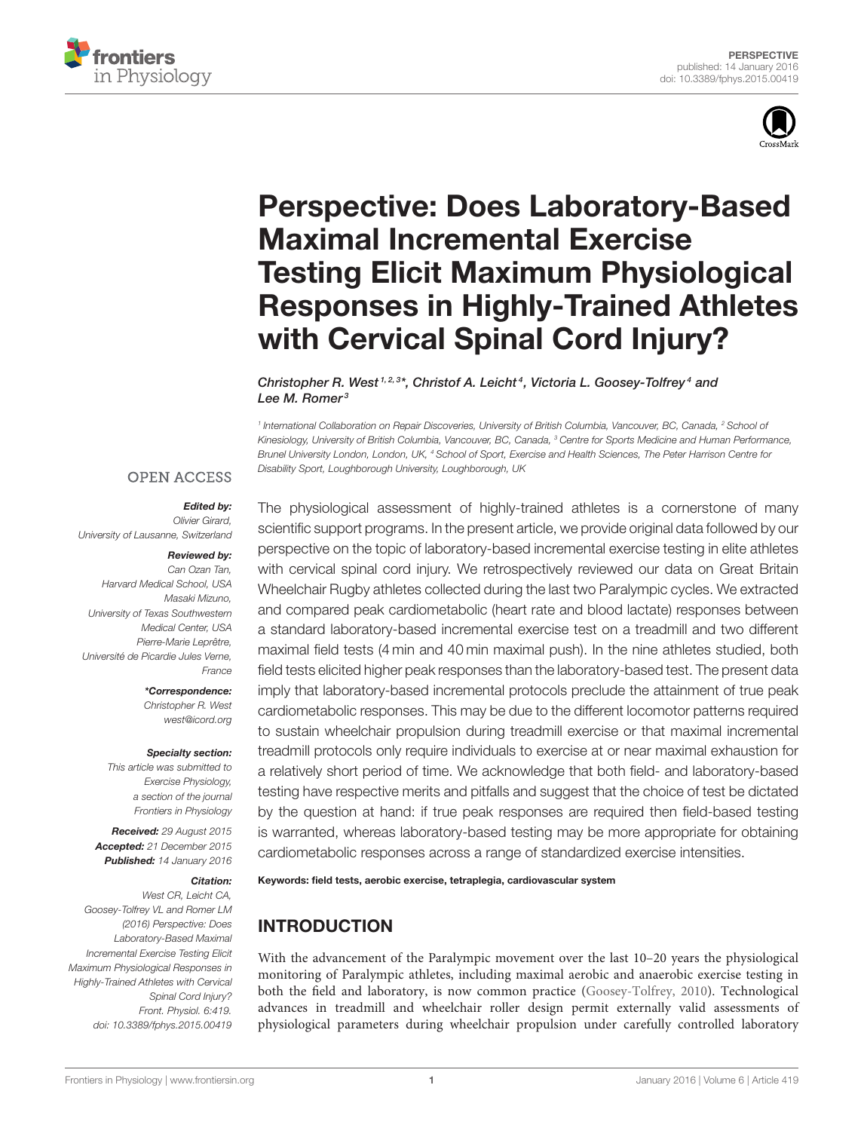



# Perspective: Does Laboratory-Based Maximal Incremental Exercise Testing Elicit Maximum Physiological [Responses in Highly-Trained Athletes](http://journal.frontiersin.org/article/10.3389/fphys.2015.00419/abstract) with Cervical Spinal Cord Injury?

[Christopher R. West](http://loop.frontiersin.org/people/52067/overview)<sup>1,2,3\*</sup>, [Christof A. Leicht](http://loop.frontiersin.org/people/216896/overview)<sup>4</sup>, [Victoria L. Goosey-Tolfrey](http://loop.frontiersin.org/people/195091/overview)<sup>4</sup> and [Lee M. Romer](http://loop.frontiersin.org/people/19505/overview)<sup>3</sup>

<sup>1</sup> International Collaboration on Repair Discoveries, University of British Columbia, Vancouver, BC, Canada, <sup>2</sup> School oi Kinesiology, University of British Columbia, Vancouver, BC, Canada, <sup>3</sup> Centre for Sports Medicine and Human Performance, Brunel University London, London, UK, <sup>4</sup> School of Sport, Exercise and Health Sciences, The Peter Harrison Centre for Disability Sport, Loughborough University, Loughborough, UK

#### **OPEN ACCESS**

#### Edited by:

Olivier Girard, University of Lausanne, Switzerland

#### Reviewed by:

Can Ozan Tan, Harvard Medical School, USA Masaki Mizuno, University of Texas Southwestern Medical Center, USA Pierre-Marie Leprêtre Université de Picardie Jules Verne, France

> \*Correspondence: Christopher R. West [west@icord.org](mailto:west@icord.org)

#### Specialty section:

This article was submitted to Exercise Physiology, a section of the journal Frontiers in Physiology

Received: 29 August 2015 Accepted: 21 December 2015 Published: 14 January 2016

#### Citation:

West CR, Leicht CA, Goosey-Tolfrey VL and Romer LM (2016) Perspective: Does Laboratory-Based Maximal Incremental Exercise Testing Elicit Maximum Physiological Responses in Highly-Trained Athletes with Cervical Spinal Cord Injury? Front. Physiol. 6:419. doi: [10.3389/fphys.2015.00419](http://dx.doi.org/10.3389/fphys.2015.00419)

The physiological assessment of highly-trained athletes is a cornerstone of many scientific support programs. In the present article, we provide original data followed by our perspective on the topic of laboratory-based incremental exercise testing in elite athletes with cervical spinal cord injury. We retrospectively reviewed our data on Great Britain Wheelchair Rugby athletes collected during the last two Paralympic cycles. We extracted and compared peak cardiometabolic (heart rate and blood lactate) responses between a standard laboratory-based incremental exercise test on a treadmill and two different maximal field tests (4 min and 40 min maximal push). In the nine athletes studied, both field tests elicited higher peak responses than the laboratory-based test. The present data imply that laboratory-based incremental protocols preclude the attainment of true peak cardiometabolic responses. This may be due to the different locomotor patterns required to sustain wheelchair propulsion during treadmill exercise or that maximal incremental treadmill protocols only require individuals to exercise at or near maximal exhaustion for a relatively short period of time. We acknowledge that both field- and laboratory-based testing have respective merits and pitfalls and suggest that the choice of test be dictated by the question at hand: if true peak responses are required then field-based testing is warranted, whereas laboratory-based testing may be more appropriate for obtaining cardiometabolic responses across a range of standardized exercise intensities.

Keywords: field tests, aerobic exercise, tetraplegia, cardiovascular system

# INTRODUCTION

With the advancement of the Paralympic movement over the last 10–20 years the physiological monitoring of Paralympic athletes, including maximal aerobic and anaerobic exercise testing in both the field and laboratory, is now common practice [\(Goosey-Tolfrey, 2010\)](#page-4-0). Technological advances in treadmill and wheelchair roller design permit externally valid assessments of physiological parameters during wheelchair propulsion under carefully controlled laboratory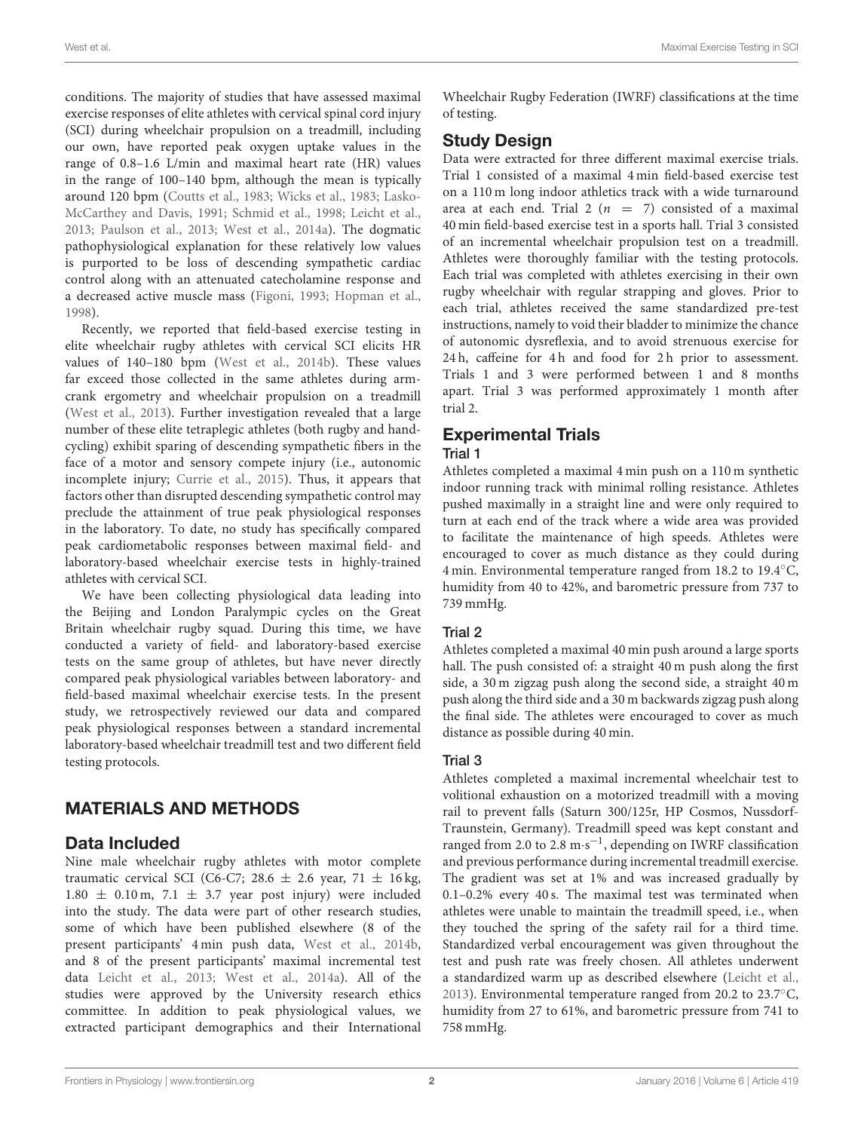conditions. The majority of studies that have assessed maximal exercise responses of elite athletes with cervical spinal cord injury (SCI) during wheelchair propulsion on a treadmill, including our own, have reported peak oxygen uptake values in the range of 0.8–1.6 L/min and maximal heart rate (HR) values in the range of 100–140 bpm, although the mean is typically around 120 bpm [\(Coutts et al., 1983;](#page-4-1) [Wicks et al., 1983;](#page-5-0) Lasko-McCarthey and Davis, [1991;](#page-4-2) [Schmid et al., 1998;](#page-4-3) [Leicht et al.,](#page-4-4) [2013;](#page-4-4) [Paulson et al., 2013;](#page-4-5) [West et al., 2014a\)](#page-4-6). The dogmatic pathophysiological explanation for these relatively low values is purported to be loss of descending sympathetic cardiac control along with an attenuated catecholamine response and a decreased active muscle mass [\(Figoni, 1993;](#page-4-7) [Hopman et al.,](#page-4-8) [1998\)](#page-4-8).

Recently, we reported that field-based exercise testing in elite wheelchair rugby athletes with cervical SCI elicits HR values of 140–180 bpm [\(West et al., 2014b\)](#page-4-9). These values far exceed those collected in the same athletes during armcrank ergometry and wheelchair propulsion on a treadmill [\(West et al., 2013\)](#page-5-1). Further investigation revealed that a large number of these elite tetraplegic athletes (both rugby and handcycling) exhibit sparing of descending sympathetic fibers in the face of a motor and sensory compete injury (i.e., autonomic incomplete injury; [Currie et al., 2015\)](#page-4-10). Thus, it appears that factors other than disrupted descending sympathetic control may preclude the attainment of true peak physiological responses in the laboratory. To date, no study has specifically compared peak cardiometabolic responses between maximal field- and laboratory-based wheelchair exercise tests in highly-trained athletes with cervical SCI.

We have been collecting physiological data leading into the Beijing and London Paralympic cycles on the Great Britain wheelchair rugby squad. During this time, we have conducted a variety of field- and laboratory-based exercise tests on the same group of athletes, but have never directly compared peak physiological variables between laboratory- and field-based maximal wheelchair exercise tests. In the present study, we retrospectively reviewed our data and compared peak physiological responses between a standard incremental laboratory-based wheelchair treadmill test and two different field testing protocols.

# MATERIALS AND METHODS

## Data Included

Nine male wheelchair rugby athletes with motor complete traumatic cervical SCI (C6-C7; 28.6  $\pm$  2.6 year, 71  $\pm$  16 kg,  $1.80 \pm 0.10$  m, 7.1  $\pm$  3.7 year post injury) were included into the study. The data were part of other research studies, some of which have been published elsewhere (8 of the present participants' 4 min push data, [West et al., 2014b,](#page-4-9) and 8 of the present participants' maximal incremental test data [Leicht et al., 2013;](#page-4-4) [West et al., 2014a\)](#page-4-6). All of the studies were approved by the University research ethics committee. In addition to peak physiological values, we extracted participant demographics and their International Wheelchair Rugby Federation (IWRF) classifications at the time of testing.

# Study Design

Data were extracted for three different maximal exercise trials. Trial 1 consisted of a maximal 4 min field-based exercise test on a 110 m long indoor athletics track with a wide turnaround area at each end. Trial 2 ( $n = 7$ ) consisted of a maximal 40 min field-based exercise test in a sports hall. Trial 3 consisted of an incremental wheelchair propulsion test on a treadmill. Athletes were thoroughly familiar with the testing protocols. Each trial was completed with athletes exercising in their own rugby wheelchair with regular strapping and gloves. Prior to each trial, athletes received the same standardized pre-test instructions, namely to void their bladder to minimize the chance of autonomic dysreflexia, and to avoid strenuous exercise for 24 h, caffeine for 4 h and food for 2 h prior to assessment. Trials 1 and 3 were performed between 1 and 8 months apart. Trial 3 was performed approximately 1 month after trial 2.

# Experimental Trials

#### Trial 1

Athletes completed a maximal 4 min push on a 110 m synthetic indoor running track with minimal rolling resistance. Athletes pushed maximally in a straight line and were only required to turn at each end of the track where a wide area was provided to facilitate the maintenance of high speeds. Athletes were encouraged to cover as much distance as they could during 4 min. Environmental temperature ranged from 18.2 to 19.4◦C, humidity from 40 to 42%, and barometric pressure from 737 to 739 mmHg.

#### Trial 2

Athletes completed a maximal 40 min push around a large sports hall. The push consisted of: a straight 40 m push along the first side, a 30 m zigzag push along the second side, a straight 40 m push along the third side and a 30 m backwards zigzag push along the final side. The athletes were encouraged to cover as much distance as possible during 40 min.

## Trial 3

Athletes completed a maximal incremental wheelchair test to volitional exhaustion on a motorized treadmill with a moving rail to prevent falls (Saturn 300/125r, HP Cosmos, Nussdorf-Traunstein, Germany). Treadmill speed was kept constant and ranged from 2.0 to  $2.8 \text{ m} \cdot \text{s}^{-1}$ , depending on IWRF classification and previous performance during incremental treadmill exercise. The gradient was set at 1% and was increased gradually by 0.1–0.2% every 40 s. The maximal test was terminated when athletes were unable to maintain the treadmill speed, i.e., when they touched the spring of the safety rail for a third time. Standardized verbal encouragement was given throughout the test and push rate was freely chosen. All athletes underwent a standardized warm up as described elsewhere [\(Leicht et al.,](#page-4-4) [2013\)](#page-4-4). Environmental temperature ranged from 20.2 to 23.7◦C, humidity from 27 to 61%, and barometric pressure from 741 to 758 mmHg.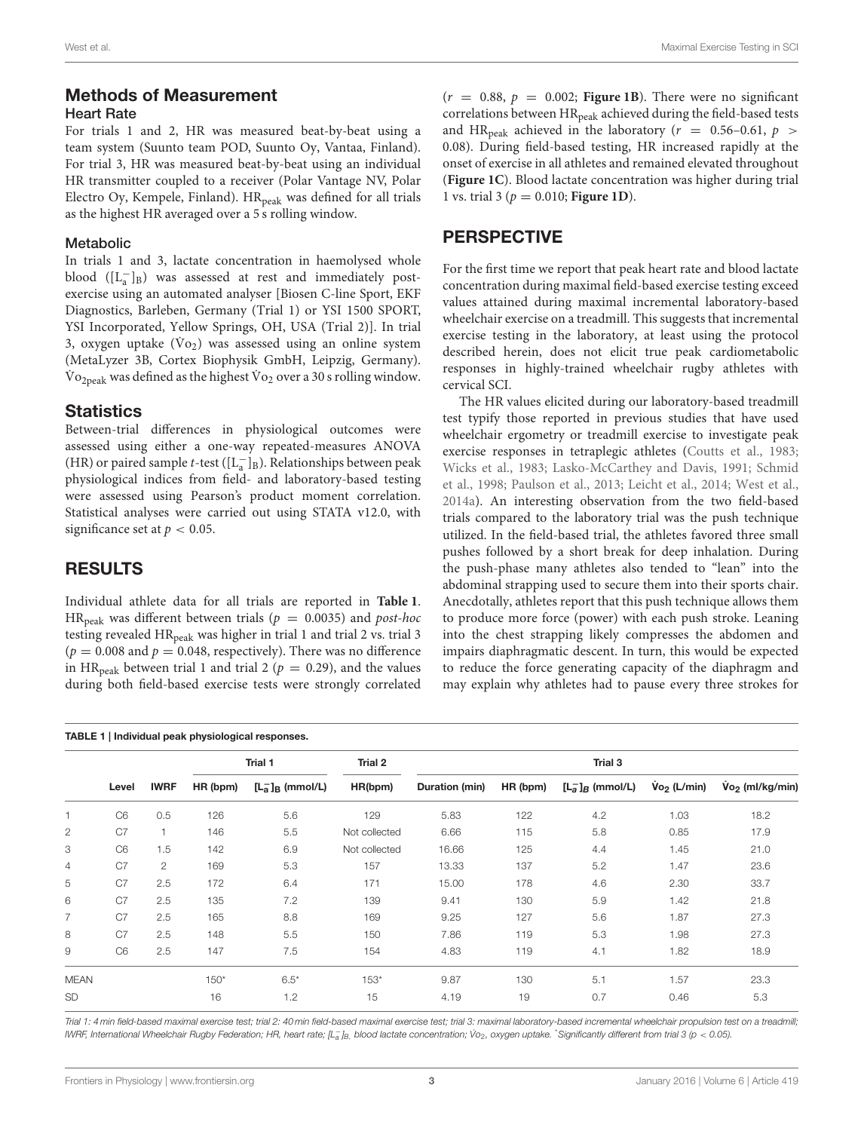### Heart Rate

For trials 1 and 2, HR was measured beat-by-beat using a team system (Suunto team POD, Suunto Oy, Vantaa, Finland). For trial 3, HR was measured beat-by-beat using an individual HR transmitter coupled to a receiver (Polar Vantage NV, Polar Electro Oy, Kempele, Finland).  $HR_{peak}$  was defined for all trials as the highest HR averaged over a 5 s rolling window.

#### Metabolic

In trials 1 and 3, lactate concentration in haemolysed whole blood ([L<sub>a</sub>]<sub>B</sub>) was assessed at rest and immediately postexercise using an automated analyser [Biosen C-line Sport, EKF Diagnostics, Barleben, Germany (Trial 1) or YSI 1500 SPORT, YSI Incorporated, Yellow Springs, OH, USA (Trial 2)]. In trial 3, oxygen uptake  $(\dot{V}o_2)$  was assessed using an online system (MetaLyzer 3B, Cortex Biophysik GmbH, Leipzig, Germany).  $\rm{\dot{V}o}_{2peak}$  was defined as the highest  $\rm{\dot{V}o}_2$  over a 30 s rolling window.

## **Statistics**

Between-trial differences in physiological outcomes were assessed using either a one-way repeated-measures ANOVA (HR) or paired sample t-test ( $[L_a^-]_B$ ). Relationships between peak physiological indices from field- and laboratory-based testing were assessed using Pearson's product moment correlation. Statistical analyses were carried out using STATA v12.0, with significance set at  $p < 0.05$ .

## RESULTS

Individual athlete data for all trials are reported in **[Table 1](#page-2-0)**. HR<sub>peak</sub> was different between trials ( $p = 0.0035$ ) and post-hoc testing revealed HR<sub>peak</sub> was higher in trial 1 and trial 2 vs. trial 3  $(p = 0.008$  and  $p = 0.048$ , respectively). There was no difference in HR<sub>peak</sub> between trial 1 and trial 2 ( $p = 0.29$ ), and the values during both field-based exercise tests were strongly correlated  $(r = 0.88, p = 0.002;$  **[Figure 1B](#page-3-0)**). There were no significant correlations between HR<sub>peak</sub> achieved during the field-based tests and HR<sub>peak</sub> achieved in the laboratory ( $r = 0.56-0.61, p >$ 0.08). During field-based testing, HR increased rapidly at the onset of exercise in all athletes and remained elevated throughout (**[Figure 1C](#page-3-0)**). Blood lactate concentration was higher during trial 1 vs. trial 3 (p = 0.010; **[Figure 1D](#page-3-0)**).

### PERSPECTIVE

For the first time we report that peak heart rate and blood lactate concentration during maximal field-based exercise testing exceed values attained during maximal incremental laboratory-based wheelchair exercise on a treadmill. This suggests that incremental exercise testing in the laboratory, at least using the protocol described herein, does not elicit true peak cardiometabolic responses in highly-trained wheelchair rugby athletes with cervical SCI.

The HR values elicited during our laboratory-based treadmill test typify those reported in previous studies that have used wheelchair ergometry or treadmill exercise to investigate peak exercise responses in tetraplegic athletes [\(Coutts et al., 1983;](#page-4-1) [Wicks et al., 1983;](#page-5-0) [Lasko-McCarthey and Davis, 1991;](#page-4-2) Schmid et al., [1998;](#page-4-3) [Paulson et al., 2013;](#page-4-5) [Leicht et al., 2014;](#page-4-11) [West et al.,](#page-4-6) [2014a\)](#page-4-6). An interesting observation from the two field-based trials compared to the laboratory trial was the push technique utilized. In the field-based trial, the athletes favored three small pushes followed by a short break for deep inhalation. During the push-phase many athletes also tended to "lean" into the abdominal strapping used to secure them into their sports chair. Anecdotally, athletes report that this push technique allows them to produce more force (power) with each push stroke. Leaning into the chest strapping likely compresses the abdomen and impairs diaphragmatic descent. In turn, this would be expected to reduce the force generating capacity of the diaphragm and may explain why athletes had to pause every three strokes for

<span id="page-2-0"></span>

|              |                | <b>IWRF</b>           | Trial 1  |                      | Trial 2       | Trial 3        |          |                  |                         |                            |
|--------------|----------------|-----------------------|----------|----------------------|---------------|----------------|----------|------------------|-------------------------|----------------------------|
|              | Level          |                       | HR (bpm) | $[La-]_{B}$ (mmol/L) | HR(bpm)       | Duration (min) | HR (bpm) | $[La]B$ (mmol/L) | $\mathsf{Vo}_2$ (L/min) | $\mathsf{V}_2$ (ml/kg/min) |
| 1            | C <sub>6</sub> | 0.5                   | 126      | 5.6                  | 129           | 5.83           | 122      | 4.2              | 1.03                    | 18.2                       |
| $\mathbf{2}$ | C <sub>7</sub> | 1.                    | 146      | 5.5                  | Not collected | 6.66           | 115      | 5.8              | 0.85                    | 17.9                       |
| 3            | C <sub>6</sub> | 1.5                   | 142      | 6.9                  | Not collected | 16.66          | 125      | 4.4              | 1.45                    | 21.0                       |
| 4            | C7             | $\mathbf{2}^{\prime}$ | 169      | 5.3                  | 157           | 13.33          | 137      | 5.2              | 1.47                    | 23.6                       |
| 5            | C <sub>7</sub> | 2.5                   | 172      | 6.4                  | 171           | 15.00          | 178      | 4.6              | 2.30                    | 33.7                       |
| 6            | C7             | 2.5                   | 135      | 7.2                  | 139           | 9.41           | 130      | 5.9              | 1.42                    | 21.8                       |
| 7            | C <sub>7</sub> | 2.5                   | 165      | 8.8                  | 169           | 9.25           | 127      | 5.6              | 1.87                    | 27.3                       |
| 8            | C <sub>7</sub> | 2.5                   | 148      | 5.5                  | 150           | 7.86           | 119      | 5.3              | 1.98                    | 27.3                       |
| 9            | C <sub>6</sub> | 2.5                   | 147      | 7.5                  | 154           | 4.83           | 119      | 4.1              | 1.82                    | 18.9                       |
| <b>MEAN</b>  |                |                       | $150*$   | $6.5*$               | $153*$        | 9.87           | 130      | 5.1              | 1.57                    | 23.3                       |
| <b>SD</b>    |                |                       | 16       | 1.2                  | 15            | 4.19           | 19       | 0.7              | 0.46                    | 5.3                        |

Trial 1: 4 min field-based maximal exercise test; trial 2: 40 min field-based maximal exercise test; trial 3: maximal laboratory-based incremental wheelchair propulsion test on a treadmill; IWRF, International Wheelchair Rugby Federation; HR, heart rate; [Lang, blood lactate concentration; Vo<sub>2</sub>, oxygen uptake. \*Significantly different from trial 3 (p < 0.05).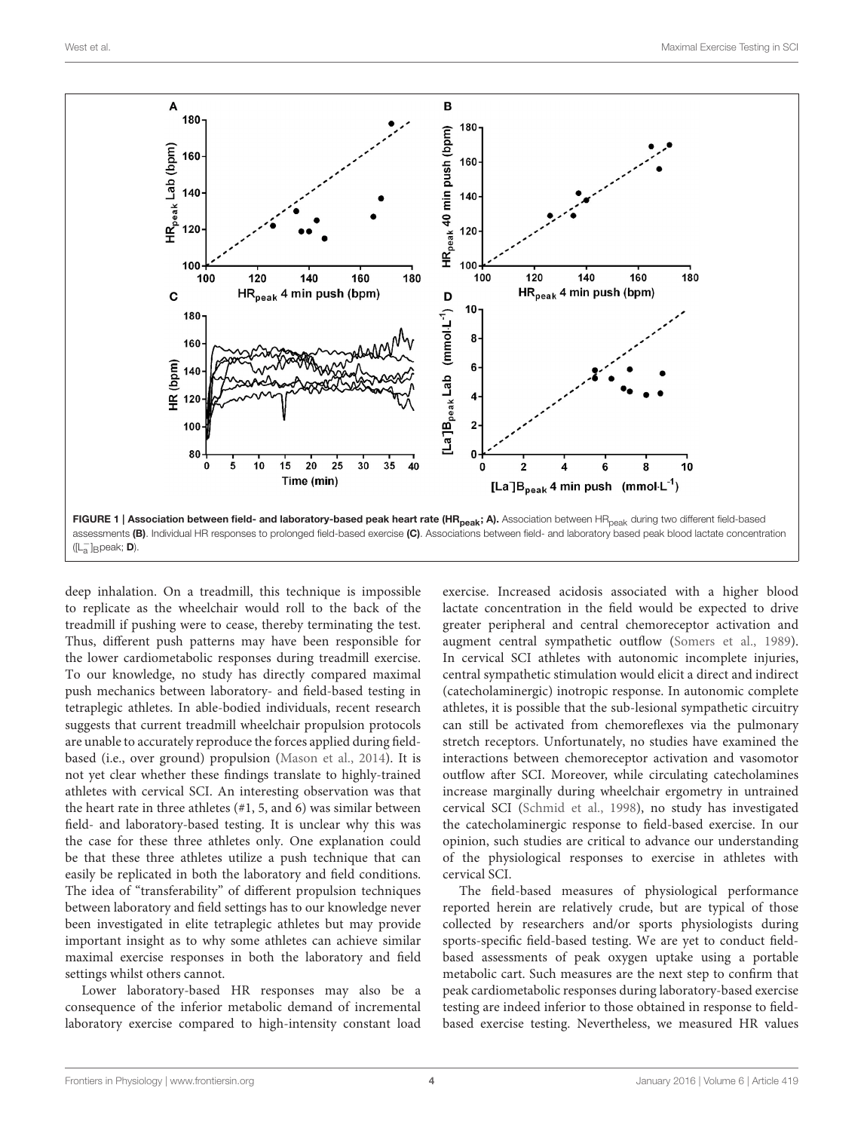

<span id="page-3-0"></span>deep inhalation. On a treadmill, this technique is impossible to replicate as the wheelchair would roll to the back of the treadmill if pushing were to cease, thereby terminating the test. Thus, different push patterns may have been responsible for the lower cardiometabolic responses during treadmill exercise. To our knowledge, no study has directly compared maximal push mechanics between laboratory- and field-based testing in tetraplegic athletes. In able-bodied individuals, recent research suggests that current treadmill wheelchair propulsion protocols are unable to accurately reproduce the forces applied during fieldbased (i.e., over ground) propulsion [\(Mason et al., 2014\)](#page-4-12). It is not yet clear whether these findings translate to highly-trained athletes with cervical SCI. An interesting observation was that the heart rate in three athletes (#1, 5, and 6) was similar between field- and laboratory-based testing. It is unclear why this was the case for these three athletes only. One explanation could be that these three athletes utilize a push technique that can easily be replicated in both the laboratory and field conditions. The idea of "transferability" of different propulsion techniques between laboratory and field settings has to our knowledge never been investigated in elite tetraplegic athletes but may provide important insight as to why some athletes can achieve similar maximal exercise responses in both the laboratory and field settings whilst others cannot.

Lower laboratory-based HR responses may also be a consequence of the inferior metabolic demand of incremental laboratory exercise compared to high-intensity constant load

exercise. Increased acidosis associated with a higher blood lactate concentration in the field would be expected to drive greater peripheral and central chemoreceptor activation and augment central sympathetic outflow [\(Somers et al., 1989\)](#page-4-13). In cervical SCI athletes with autonomic incomplete injuries, central sympathetic stimulation would elicit a direct and indirect (catecholaminergic) inotropic response. In autonomic complete athletes, it is possible that the sub-lesional sympathetic circuitry can still be activated from chemoreflexes via the pulmonary stretch receptors. Unfortunately, no studies have examined the interactions between chemoreceptor activation and vasomotor outflow after SCI. Moreover, while circulating catecholamines increase marginally during wheelchair ergometry in untrained cervical SCI [\(Schmid et al., 1998\)](#page-4-3), no study has investigated the catecholaminergic response to field-based exercise. In our opinion, such studies are critical to advance our understanding of the physiological responses to exercise in athletes with cervical SCI.

The field-based measures of physiological performance reported herein are relatively crude, but are typical of those collected by researchers and/or sports physiologists during sports-specific field-based testing. We are yet to conduct fieldbased assessments of peak oxygen uptake using a portable metabolic cart. Such measures are the next step to confirm that peak cardiometabolic responses during laboratory-based exercise testing are indeed inferior to those obtained in response to fieldbased exercise testing. Nevertheless, we measured HR values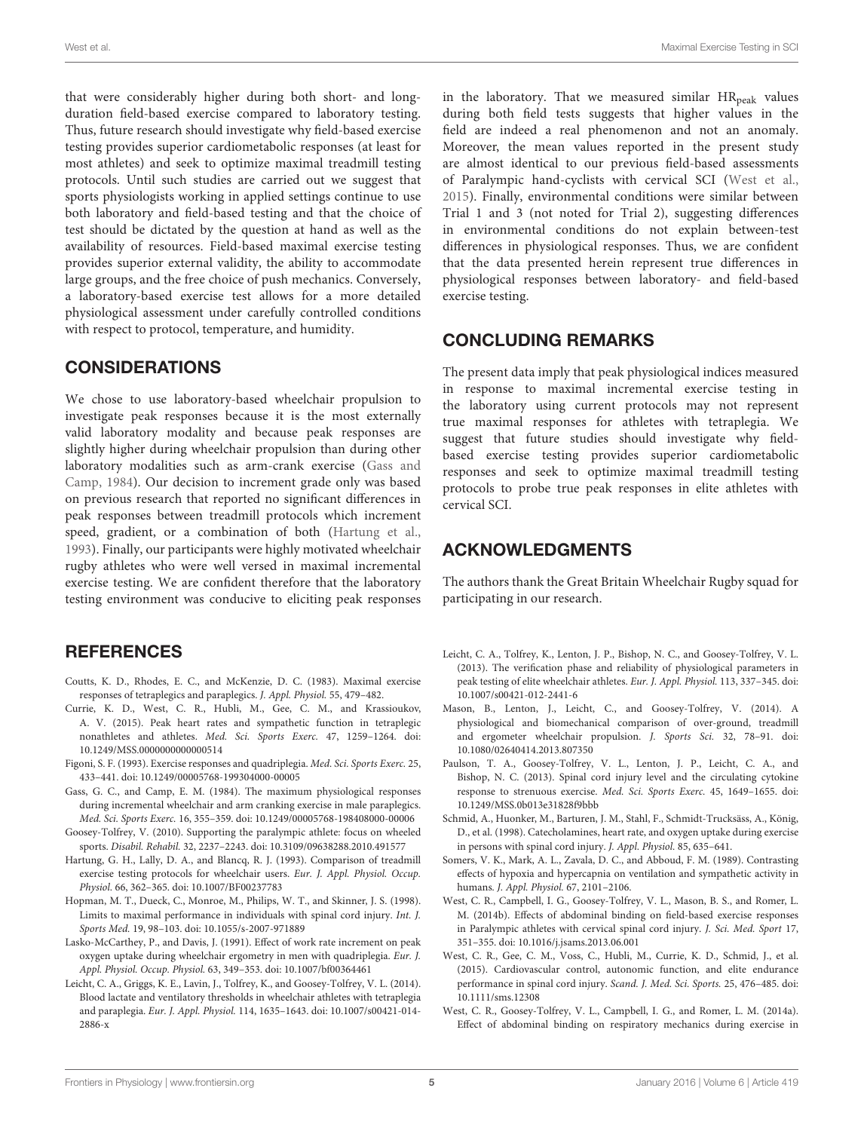that were considerably higher during both short- and longduration field-based exercise compared to laboratory testing. Thus, future research should investigate why field-based exercise testing provides superior cardiometabolic responses (at least for most athletes) and seek to optimize maximal treadmill testing protocols. Until such studies are carried out we suggest that sports physiologists working in applied settings continue to use both laboratory and field-based testing and that the choice of test should be dictated by the question at hand as well as the availability of resources. Field-based maximal exercise testing provides superior external validity, the ability to accommodate large groups, and the free choice of push mechanics. Conversely, a laboratory-based exercise test allows for a more detailed physiological assessment under carefully controlled conditions with respect to protocol, temperature, and humidity.

## **CONSIDERATIONS**

We chose to use laboratory-based wheelchair propulsion to investigate peak responses because it is the most externally valid laboratory modality and because peak responses are slightly higher during wheelchair propulsion than during other laboratory modalities such as arm-crank exercise (Gass and Camp, [1984\)](#page-4-14). Our decision to increment grade only was based on previous research that reported no significant differences in peak responses between treadmill protocols which increment speed, gradient, or a combination of both [\(Hartung et al.,](#page-4-15) [1993\)](#page-4-15). Finally, our participants were highly motivated wheelchair rugby athletes who were well versed in maximal incremental exercise testing. We are confident therefore that the laboratory testing environment was conducive to eliciting peak responses

**REFERENCES** 

- <span id="page-4-1"></span>Coutts, K. D., Rhodes, E. C., and McKenzie, D. C. (1983). Maximal exercise responses of tetraplegics and paraplegics. J. Appl. Physiol. 55, 479–482.
- <span id="page-4-10"></span>Currie, K. D., West, C. R., Hubli, M., Gee, C. M., and Krassioukov, A. V. (2015). Peak heart rates and sympathetic function in tetraplegic nonathletes and athletes. Med. Sci. Sports Exerc. 47, 1259–1264. doi: 10.1249/MSS.0000000000000514
- <span id="page-4-7"></span>Figoni, S. F. (1993). Exercise responses and quadriplegia. Med. Sci. Sports Exerc. 25, 433–441. doi: 10.1249/00005768-199304000-00005
- <span id="page-4-14"></span>Gass, G. C., and Camp, E. M. (1984). The maximum physiological responses during incremental wheelchair and arm cranking exercise in male paraplegics. Med. Sci. Sports Exerc. 16, 355–359. doi: 10.1249/00005768-198408000-00006
- <span id="page-4-0"></span>Goosey-Tolfrey, V. (2010). Supporting the paralympic athlete: focus on wheeled sports. Disabil. Rehabil. 32, 2237–2243. doi: 10.3109/09638288.2010.491577
- <span id="page-4-15"></span>Hartung, G. H., Lally, D. A., and Blancq, R. J. (1993). Comparison of treadmill exercise testing protocols for wheelchair users. Eur. J. Appl. Physiol. Occup. Physiol. 66, 362–365. doi: 10.1007/BF00237783
- <span id="page-4-8"></span>Hopman, M. T., Dueck, C., Monroe, M., Philips, W. T., and Skinner, J. S. (1998). Limits to maximal performance in individuals with spinal cord injury. Int. J. Sports Med. 19, 98–103. doi: 10.1055/s-2007-971889
- <span id="page-4-2"></span>Lasko-McCarthey, P., and Davis, J. (1991). Effect of work rate increment on peak oxygen uptake during wheelchair ergometry in men with quadriplegia. Eur. J. Appl. Physiol. Occup. Physiol. 63, 349–353. doi: 10.1007/bf00364461
- <span id="page-4-11"></span>Leicht, C. A., Griggs, K. E., Lavin, J., Tolfrey, K., and Goosey-Tolfrey, V. L. (2014). Blood lactate and ventilatory thresholds in wheelchair athletes with tetraplegia and paraplegia. Eur. J. Appl. Physiol. 114, 1635–1643. doi: 10.1007/s00421-014- 2886-x

in the laboratory. That we measured similar  $HR_{peak}$  values during both field tests suggests that higher values in the field are indeed a real phenomenon and not an anomaly. Moreover, the mean values reported in the present study are almost identical to our previous field-based assessments of Paralympic hand-cyclists with cervical SCI [\(West et al.,](#page-4-16) [2015\)](#page-4-16). Finally, environmental conditions were similar between Trial 1 and 3 (not noted for Trial 2), suggesting differences in environmental conditions do not explain between-test differences in physiological responses. Thus, we are confident that the data presented herein represent true differences in physiological responses between laboratory- and field-based exercise testing.

## CONCLUDING REMARKS

The present data imply that peak physiological indices measured in response to maximal incremental exercise testing in the laboratory using current protocols may not represent true maximal responses for athletes with tetraplegia. We suggest that future studies should investigate why fieldbased exercise testing provides superior cardiometabolic responses and seek to optimize maximal treadmill testing protocols to probe true peak responses in elite athletes with cervical SCI.

# ACKNOWLEDGMENTS

The authors thank the Great Britain Wheelchair Rugby squad for participating in our research.

- <span id="page-4-4"></span>Leicht, C. A., Tolfrey, K., Lenton, J. P., Bishop, N. C., and Goosey-Tolfrey, V. L. (2013). The verification phase and reliability of physiological parameters in peak testing of elite wheelchair athletes. Eur. J. Appl. Physiol. 113, 337–345. doi: 10.1007/s00421-012-2441-6
- <span id="page-4-12"></span>Mason, B., Lenton, J., Leicht, C., and Goosey-Tolfrey, V. (2014). A physiological and biomechanical comparison of over-ground, treadmill and ergometer wheelchair propulsion. J. Sports Sci. 32, 78–91. doi: 10.1080/02640414.2013.807350
- <span id="page-4-5"></span>Paulson, T. A., Goosey-Tolfrey, V. L., Lenton, J. P., Leicht, C. A., and Bishop, N. C. (2013). Spinal cord injury level and the circulating cytokine response to strenuous exercise. Med. Sci. Sports Exerc. 45, 1649–1655. doi: 10.1249/MSS.0b013e31828f9bbb
- <span id="page-4-3"></span>Schmid, A., Huonker, M., Barturen, J. M., Stahl, F., Schmidt-Trucksäss, A., König, D., et al. (1998). Catecholamines, heart rate, and oxygen uptake during exercise in persons with spinal cord injury. J. Appl. Physiol. 85, 635–641.
- <span id="page-4-13"></span>Somers, V. K., Mark, A. L., Zavala, D. C., and Abboud, F. M. (1989). Contrasting effects of hypoxia and hypercapnia on ventilation and sympathetic activity in humans. J. Appl. Physiol. 67, 2101–2106.
- <span id="page-4-9"></span>West, C. R., Campbell, I. G., Goosey-Tolfrey, V. L., Mason, B. S., and Romer, L. M. (2014b). Effects of abdominal binding on field-based exercise responses in Paralympic athletes with cervical spinal cord injury. J. Sci. Med. Sport 17, 351–355. doi: 10.1016/j.jsams.2013.06.001
- <span id="page-4-16"></span>West, C. R., Gee, C. M., Voss, C., Hubli, M., Currie, K. D., Schmid, J., et al. (2015). Cardiovascular control, autonomic function, and elite endurance performance in spinal cord injury. Scand. J. Med. Sci. Sports. 25, 476–485. doi: 10.1111/sms.12308
- <span id="page-4-6"></span>West, C. R., Goosey-Tolfrey, V. L., Campbell, I. G., and Romer, L. M. (2014a). Effect of abdominal binding on respiratory mechanics during exercise in